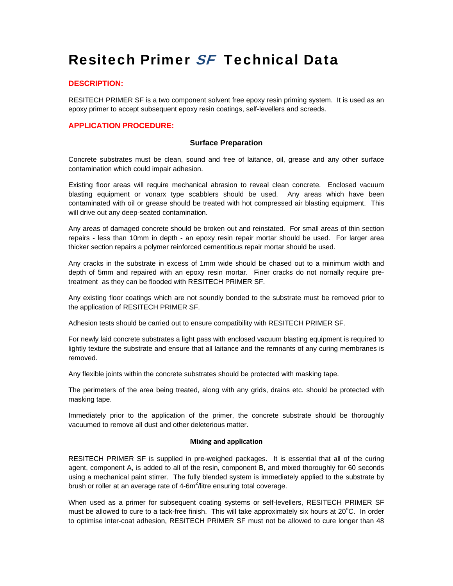# Resitech Primer SF Technical Data

## **DESCRIPTION:**

RESITECH PRIMER SF is a two component solvent free epoxy resin priming system. It is used as an epoxy primer to accept subsequent epoxy resin coatings, self-levellers and screeds.

## **APPLICATION PROCEDURE:**

### **Surface Preparation**

Concrete substrates must be clean, sound and free of laitance, oil, grease and any other surface contamination which could impair adhesion.

Existing floor areas will require mechanical abrasion to reveal clean concrete. Enclosed vacuum blasting equipment or vonarx type scabblers should be used. Any areas which have been contaminated with oil or grease should be treated with hot compressed air blasting equipment. This will drive out any deep-seated contamination.

Any areas of damaged concrete should be broken out and reinstated. For small areas of thin section repairs - less than 10mm in depth - an epoxy resin repair mortar should be used. For larger area thicker section repairs a polymer reinforced cementitious repair mortar should be used.

Any cracks in the substrate in excess of 1mm wide should be chased out to a minimum width and depth of 5mm and repaired with an epoxy resin mortar. Finer cracks do not nornally require pretreatment as they can be flooded with RESITECH PRIMER SF.

Any existing floor coatings which are not soundly bonded to the substrate must be removed prior to the application of RESITECH PRIMER SF.

Adhesion tests should be carried out to ensure compatibility with RESITECH PRIMER SF.

For newly laid concrete substrates a light pass with enclosed vacuum blasting equipment is required to lightly texture the substrate and ensure that all laitance and the remnants of any curing membranes is removed.

Any flexible joints within the concrete substrates should be protected with masking tape.

The perimeters of the area being treated, along with any grids, drains etc. should be protected with masking tape.

Immediately prior to the application of the primer, the concrete substrate should be thoroughly vacuumed to remove all dust and other deleterious matter.

#### **Mixing and application**

RESITECH PRIMER SF is supplied in pre-weighed packages. It is essential that all of the curing agent, component A, is added to all of the resin, component B, and mixed thoroughly for 60 seconds using a mechanical paint stirrer. The fully blended system is immediately applied to the substrate by brush or roller at an average rate of 4-6 $m^2$ /litre ensuring total coverage.

When used as a primer for subsequent coating systems or self-levellers, RESITECH PRIMER SF must be allowed to cure to a tack-free finish. This will take approximately six hours at  $20^{\circ}$ C. In order to optimise inter-coat adhesion, RESITECH PRIMER SF must not be allowed to cure longer than 48